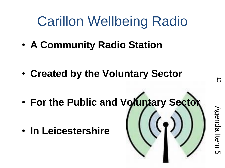## Carillon Wellbeing Radio

• **A Community Radio Station**

- **Created by the Voluntary Sector**
- **For the Public and Voluntary Sector**
- **In Leicestershire**

Agenda Item 5**Agenda Item** <u>(၂</u>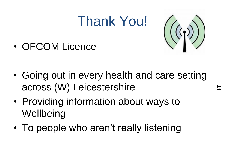## Thank You!



• OFCOM Licence

- Going out in every health and care setting across (W) Leicestershire
- Providing information about ways to **Wellbeing**
- To people who aren't really listening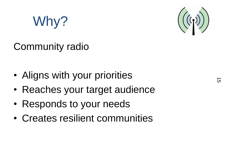## Why?

#### Community radio

- Aligns with your priorities
- Reaches your target audience
- Responds to your needs
- Creates resilient communities

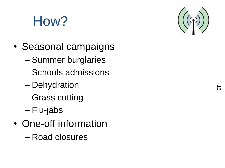# How?

- Seasonal campaigns
	- Summer burglaries
	- Schools admissions
	- Dehydration
	- Grass cutting
	- Flu-jabs
- One-off information – Road closures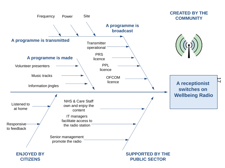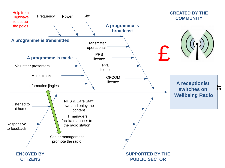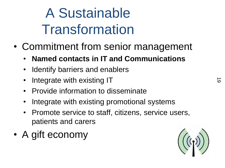# A Sustainable Transformation

- Commitment from senior management
	- **Named contacts in IT and Communications**
	- Identify barriers and enablers
	- Integrate with existing IT
	- Provide information to disseminate
	- Integrate with existing promotional systems
	- Promote service to staff, citizens, service users, patients and carers
- A gift economy